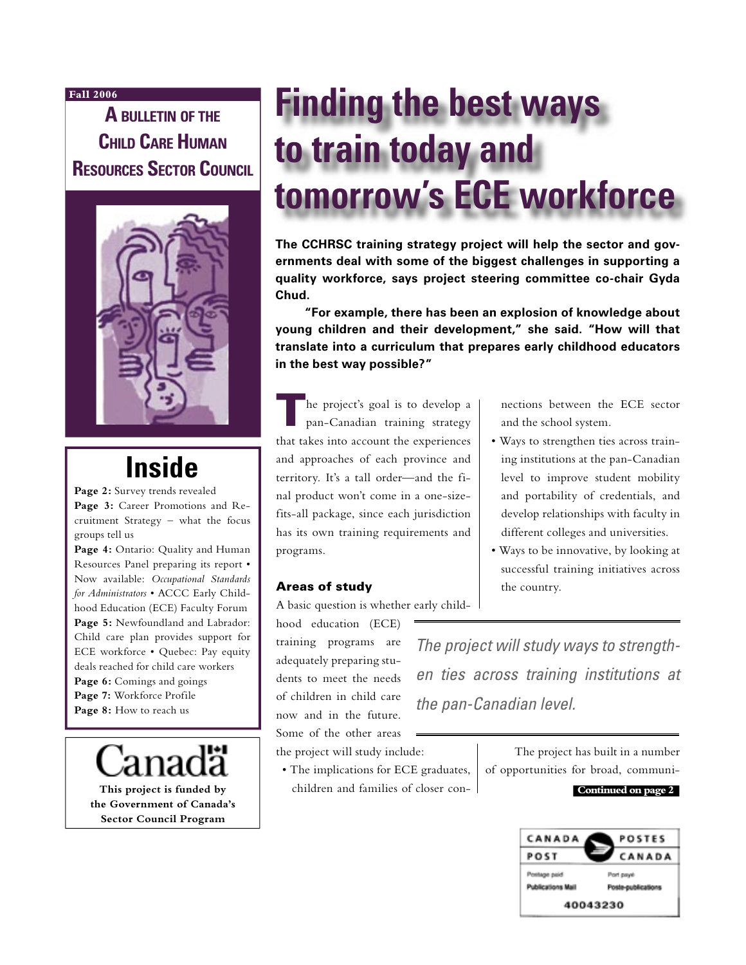#### **Fall 2006**

**A BULLETIN OF THE CHILD CARE HUMAN RESOURCES SECTOR COUNCIL**



# **Inside**

**Page 2:** Survey trends revealed **Page 3:** Career Promotions and Recruitment Strategy – what the focus groups tell us

**Page 4:** Ontario: Quality and Human Resources Panel preparing its report • Now available: *Occupational Standards for Administrators* • ACCC Early Childhood Education (ECE) Faculty Forum **Page 5:** Newfoundland and Labrador: Child care plan provides support for ECE workforce • Quebec: Pay equity deals reached for child care workers **Page 6:** Comings and goings **Page 7:** Workforce Profile Page 8: How to reach us

**This project is funded by the Government of Canada's Sector Council Program**

# **Finding the best ways to train today and tomorrow's ECE workforce**

**The CCHRSC training strategy project will help the sector and governments deal with some of the biggest challenges in supporting a quality workforce, says project steering committee co-chair Gyda Chud.** 

**"For example, there has been an explosion of knowledge about young children and their development," she said. "How will that translate into a curriculum that prepares early childhood educators in the best way possible?"**

The project's goal is to develop a pan-Canadian training strategy that takes into account the experiences and approaches of each province and territory. It's a tall order—and the final product won't come in a one-sizefits-all package, since each jurisdiction has its own training requirements and programs.

#### Areas of study

A basic question is whether early child-

hood education (ECE) training programs are adequately preparing students to meet the needs of children in child care now and in the future. Some of the other areas the project will study include:

• The implications for ECE graduates, children and families of closer connections between the ECE sector and the school system.

- Ways to strengthen ties across training institutions at the pan-Canadian level to improve student mobility and portability of credentials, and develop relationships with faculty in different colleges and universities.
- Ways to be innovative, by looking at successful training initiatives across the country.

The project will study ways to strengthen ties across training institutions at the pan-Canadian level.

> The project has built in a number of opportunities for broad, communi-

#### **Continued on page 2**

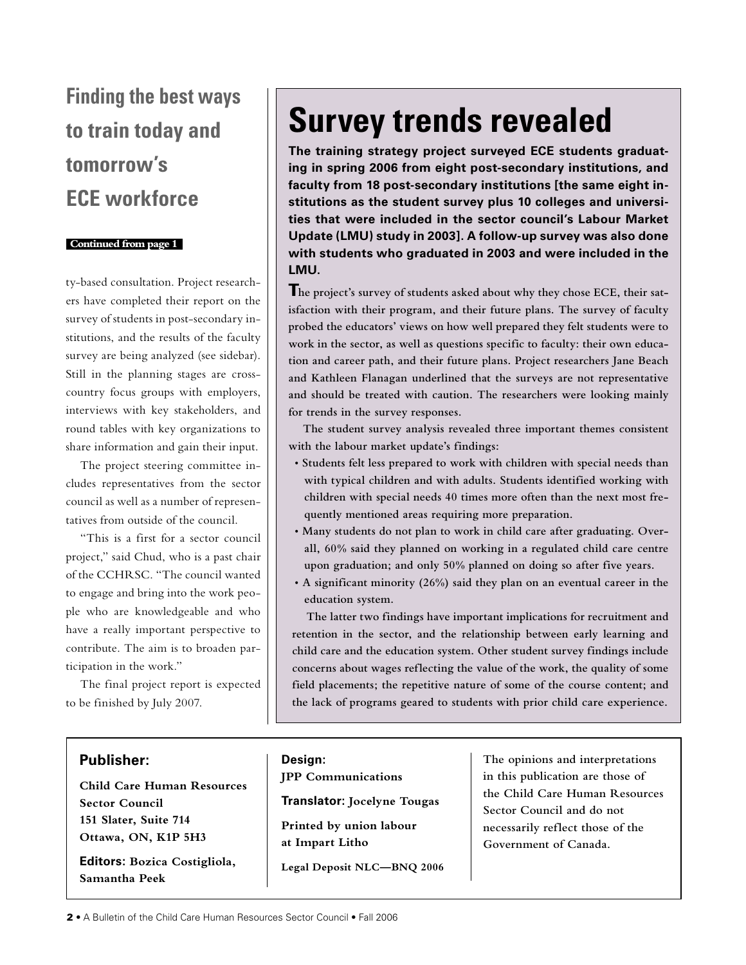# **Finding the best ways to train today and tomorrow's ECE workforce**

#### **Continued from page 1**

ty-based consultation. Project researchers have completed their report on the survey of students in post-secondary institutions, and the results of the faculty survey are being analyzed (see sidebar). Still in the planning stages are crosscountry focus groups with employers, interviews with key stakeholders, and round tables with key organizations to share information and gain their input.

The project steering committee includes representatives from the sector council as well as a number of representatives from outside of the council.

"This is a first for a sector council project," said Chud, who is a past chair of the CCHRSC. "The council wanted to engage and bring into the work people who are knowledgeable and who have a really important perspective to contribute. The aim is to broaden participation in the work."

The final project report is expected to be finished by July 2007.

#### **Publisher:**

**Child Care Human Resources Sector Council 151 Slater, Suite 714 Ottawa, ON, K1P 5H3**

**Editors: Bozica Costigliola, Samantha Peek**

# **Survey trends revealed**

**The training strategy project surveyed ECE students graduating in spring 2006 from eight post-secondary institutions, and faculty from 18 post-secondary institutions [the same eight institutions as the student survey plus 10 colleges and universities that were included in the sector council's Labour Market Update (LMU) study in 2003]. A follow-up survey was also done with students who graduated in 2003 and were included in the LMU.** 

**The project's survey of students asked about why they chose ECE, their satisfaction with their program, and their future plans. The survey of faculty probed the educators' views on how well prepared they felt students were to work in the sector, as well as questions specific to faculty: their own education and career path, and their future plans. Project researchers Jane Beach and Kathleen Flanagan underlined that the surveys are not representative and should be treated with caution. The researchers were looking mainly for trends in the survey responses.**

**The student survey analysis revealed three important themes consistent with the labour market update's findings:**

- **Students felt less prepared to work with children with special needs than with typical children and with adults. Students identified working with children with special needs 40 times more often than the next most frequently mentioned areas requiring more preparation.**
- **Many students do not plan to work in child care after graduating. Overall, 60% said they planned on working in a regulated child care centre upon graduation; and only 50% planned on doing so after five years.**
- **A significant minority (26%) said they plan on an eventual career in the education system.**

**The latter two findings have important implications for recruitment and retention in the sector, and the relationship between early learning and child care and the education system. Other student survey findings include concerns about wages reflecting the value of the work, the quality of some field placements; the repetitive nature of some of the course content; and the lack of programs geared to students with prior child care experience.** 

**Design: JPP Communications**

**Translator: Jocelyne Tougas**

**Printed by union labour at Impart Litho**

**Legal Deposit NLC—BNQ 2006**

**The opinions and interpretations in this publication are those of the Child Care Human Resources Sector Council and do not necessarily reflect those of the Government of Canada.**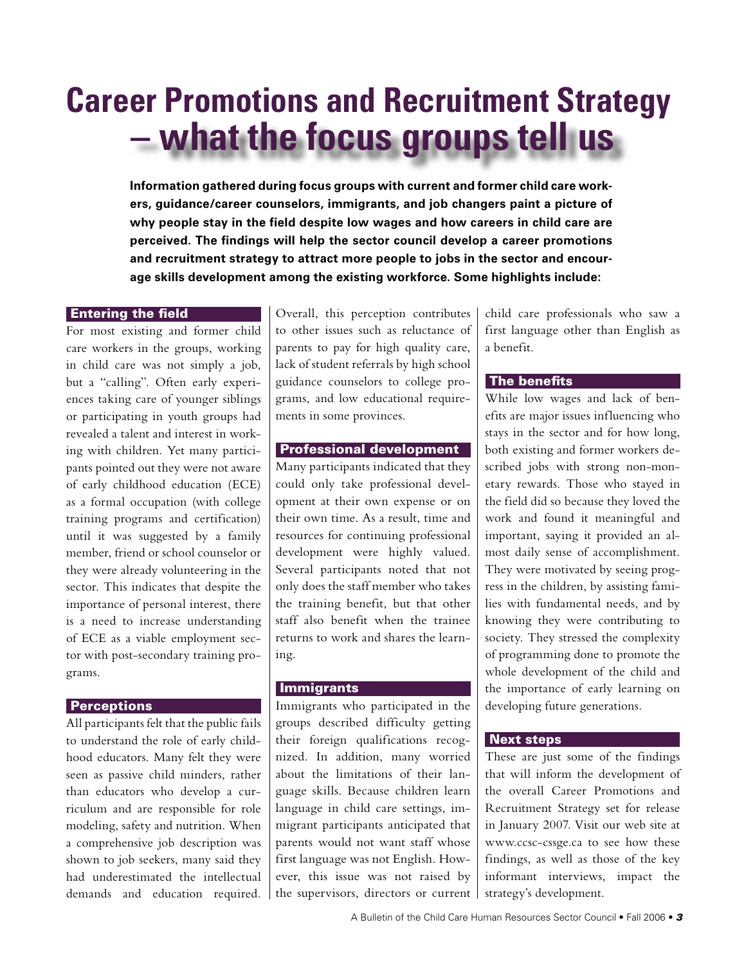# **Career Promotions and Recruitment Strategy – what the focus groups tell us**

**Information gathered during focus groups with current and former child care workers, guidance/career counselors, immigrants, and job changers paint a picture of why people stay in the field despite low wages and how careers in child care are perceived. The findings will help the sector council develop a career promotions and recruitment strategy to attract more people to jobs in the sector and encourage skills development among the existing workforce. Some highlights include:**

#### **Entering the field**

For most existing and former child care workers in the groups, working in child care was not simply a job, but a "calling". Often early experiences taking care of younger siblings or participating in youth groups had revealed a talent and interest in working with children. Yet many participants pointed out they were not aware of early childhood education (ECE) as a formal occupation (with college training programs and certification) until it was suggested by a family member, friend or school counselor or they were already volunteering in the sector. This indicates that despite the importance of personal interest, there is a need to increase understanding of ECE as a viable employment sector with post-secondary training programs.

#### Perceptions

All participants felt that the public fails to understand the role of early childhood educators. Many felt they were seen as passive child minders, rather than educators who develop a curriculum and are responsible for role modeling, safety and nutrition. When a comprehensive job description was shown to job seekers, many said they had underestimated the intellectual demands and education required.

Overall, this perception contributes to other issues such as reluctance of parents to pay for high quality care, lack of student referrals by high school guidance counselors to college programs, and low educational requirements in some provinces.

#### Professional development

Many participants indicated that they could only take professional development at their own expense or on their own time. As a result, time and resources for continuing professional development were highly valued. Several participants noted that not only does the staff member who takes the training benefit, but that other staff also benefit when the trainee returns to work and shares the learning.

#### **Immigrants**

Immigrants who participated in the groups described difficulty getting their foreign qualifications recognized. In addition, many worried about the limitations of their language skills. Because children learn language in child care settings, immigrant participants anticipated that parents would not want staff whose first language was not English. However, this issue was not raised by the supervisors, directors or current child care professionals who saw a first language other than English as a benefit.

#### The benefits

While low wages and lack of benefits are major issues influencing who stays in the sector and for how long, both existing and former workers described jobs with strong non-monetary rewards. Those who stayed in the field did so because they loved the work and found it meaningful and important, saying it provided an almost daily sense of accomplishment. They were motivated by seeing progress in the children, by assisting families with fundamental needs, and by knowing they were contributing to society. They stressed the complexity of programming done to promote the whole development of the child and the importance of early learning on developing future generations.

#### Next steps

These are just some of the findings that will inform the development of the overall Career Promotions and Recruitment Strategy set for release in January 2007. Visit our web site at www.ccsc-cssge.ca to see how these findings, as well as those of the key informant interviews, impact the strategy's development.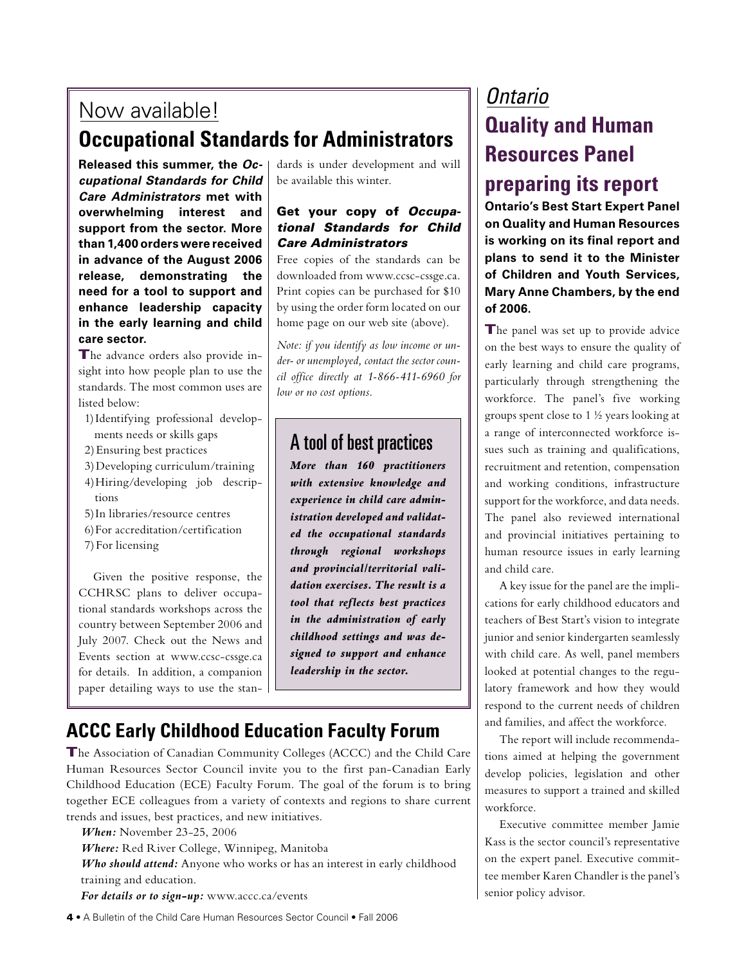### Now available!

### **Occupational Standards for Administrators**

**Released this summer, the Occupational Standards for Child Care Administrators met with overwhelming interest and support from the sector. More than 1,400 orders were received in advance of the August 2006 release, demonstrating the need for a tool to support and enhance leadership capacity in the early learning and child care sector.**

The advance orders also provide insight into how people plan to use the standards. The most common uses are listed below:

- 1) Identifying professional developments needs or skills gaps
- 2) Ensuring best practices
- 3) Developing curriculum/training
- 4) Hiring/developing job descrip tions
- 5) In libraries/resource centres
- 6) For accreditation/certification
- 7) For licensing

Given the positive response, the CCHRSC plans to deliver occupational standards workshops across the country between September 2006 and July 2007. Check out the News and Events section at www.ccsc-cssge.ca for details. In addition, a companion paper detailing ways to use the standards is under development and will be available this winter.

#### Get your copy of Occupational Standards for Child Care Administrators

Free copies of the standards can be downloaded from www.ccsc-cssge.ca. Print copies can be purchased for \$10 by using the order form located on our home page on our web site (above).

*Note: if you identify as low income or under- or unemployed, contact the sector council office directly at 1-866-411-6960 for low or no cost options.*

### A tool of best practices

*More than 160 practitioners with extensive knowledge and experience in child care administration developed and validated the occupational standards through regional workshops and provincial/territorial validation exercises. The result is a tool that reflects best practices in the administration of early childhood settings and was designed to support and enhance leadership in the sector.*

### **ACCC Early Childhood Education Faculty Forum**

The Association of Canadian Community Colleges (ACCC) and the Child Care Human Resources Sector Council invite you to the first pan-Canadian Early Childhood Education (ECE) Faculty Forum. The goal of the forum is to bring together ECE colleagues from a variety of contexts and regions to share current trends and issues, best practices, and new initiatives.

*When:* November 23-25, 2006

*Where:* Red River College, Winnipeg, Manitoba

*Who should attend:* Anyone who works or has an interest in early childhood training and education.

*For details or to sign-up:* www.accc.ca/events

## Ontario **Quality and Human Resources Panel preparing its report**

**Ontario's Best Start Expert Panel on Quality and Human Resources is working on its final report and plans to send it to the Minister of Children and Youth Services, Mary Anne Chambers, by the end of 2006.**

The panel was set up to provide advice on the best ways to ensure the quality of early learning and child care programs, particularly through strengthening the workforce. The panel's five working groups spent close to 1 ½ years looking at a range of interconnected workforce issues such as training and qualifications, recruitment and retention, compensation and working conditions, infrastructure support for the workforce, and data needs. The panel also reviewed international and provincial initiatives pertaining to human resource issues in early learning and child care.

A key issue for the panel are the implications for early childhood educators and teachers of Best Start's vision to integrate junior and senior kindergarten seamlessly with child care. As well, panel members looked at potential changes to the regulatory framework and how they would respond to the current needs of children and families, and affect the workforce.

The report will include recommendations aimed at helping the government develop policies, legislation and other measures to support a trained and skilled workforce.

Executive committee member Jamie Kass is the sector council's representative on the expert panel. Executive committee member Karen Chandler is the panel's senior policy advisor.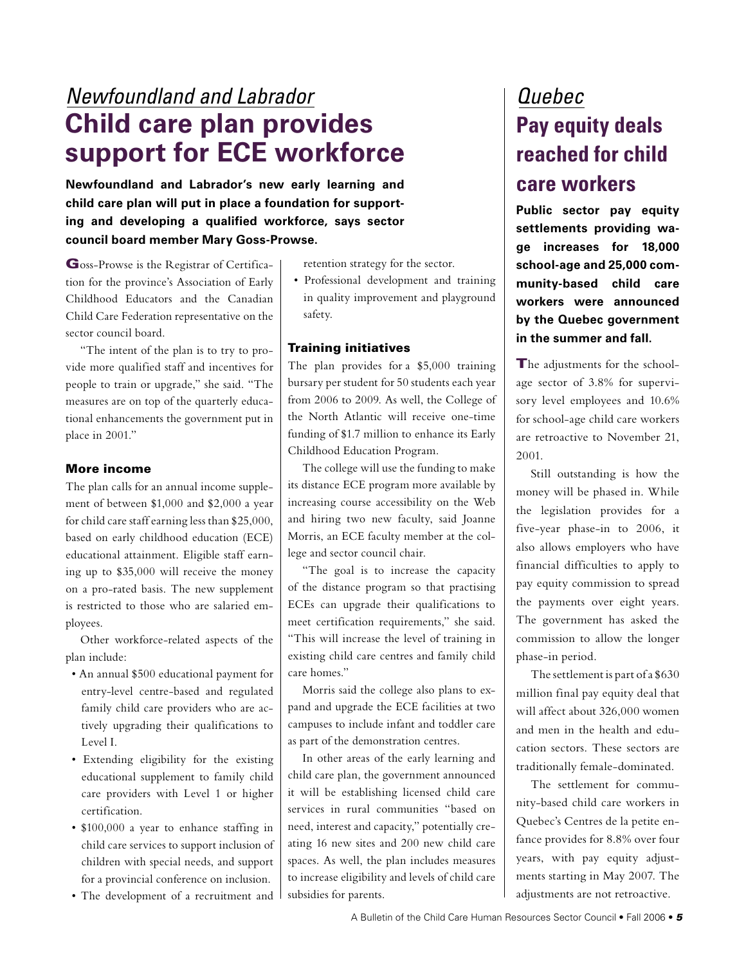## Newfoundland and Labrador **Child care plan provides support for ECE workforce**

**Newfoundland and Labrador's new early learning and child care plan will put in place a foundation for supporting and developing a qualified workforce, says sector council board member Mary Goss-Prowse.**

Goss-Prowse is the Registrar of Certification for the province's Association of Early Childhood Educators and the Canadian Child Care Federation representative on the sector council board.

"The intent of the plan is to try to provide more qualified staff and incentives for people to train or upgrade," she said. "The measures are on top of the quarterly educational enhancements the government put in place in 2001."

#### More income

The plan calls for an annual income supplement of between \$1,000 and \$2,000 a year for child care staff earning less than \$25,000, based on early childhood education (ECE) educational attainment. Eligible staff earning up to \$35,000 will receive the money on a pro-rated basis. The new supplement is restricted to those who are salaried employees.

Other workforce-related aspects of the plan include:

- An annual \$500 educational payment for entry-level centre-based and regulated family child care providers who are actively upgrading their qualifications to Level I.
- Extending eligibility for the existing educational supplement to family child care providers with Level 1 or higher certification.
- \$100,000 a year to enhance staffing in child care services to support inclusion of children with special needs, and support for a provincial conference on inclusion.
- The development of a recruitment and
- retention strategy for the sector.
- Professional development and training in quality improvement and playground safety.

#### Training initiatives

The plan provides for a \$5,000 training bursary per student for 50 students each year from 2006 to 2009. As well, the College of the North Atlantic will receive one-time funding of \$1.7 million to enhance its Early Childhood Education Program.

The college will use the funding to make its distance ECE program more available by increasing course accessibility on the Web and hiring two new faculty, said Joanne Morris, an ECE faculty member at the college and sector council chair.

"The goal is to increase the capacity of the distance program so that practising ECEs can upgrade their qualifications to meet certification requirements," she said. "This will increase the level of training in existing child care centres and family child care homes."

Morris said the college also plans to expand and upgrade the ECE facilities at two campuses to include infant and toddler care as part of the demonstration centres.

In other areas of the early learning and child care plan, the government announced it will be establishing licensed child care services in rural communities "based on need, interest and capacity," potentially creating 16 new sites and 200 new child care spaces. As well, the plan includes measures to increase eligibility and levels of child care subsidies for parents.

## Quebec **Pay equity deals reached for child care workers**

**Public sector pay equity settlements providing wage increases for 18,000 school-age and 25,000 community-based child care workers were announced by the Quebec government in the summer and fall.**

The adjustments for the schoolage sector of 3.8% for supervisory level employees and 10.6% for school-age child care workers are retroactive to November 21, 2001.

Still outstanding is how the money will be phased in. While the legislation provides for a five-year phase-in to 2006, it also allows employers who have financial difficulties to apply to pay equity commission to spread the payments over eight years. The government has asked the commission to allow the longer phase-in period.

The settlement is part of a \$630 million final pay equity deal that will affect about 326,000 women and men in the health and education sectors. These sectors are traditionally female-dominated.

The settlement for community-based child care workers in Quebec's Centres de la petite enfance provides for 8.8% over four years, with pay equity adjustments starting in May 2007. The adjustments are not retroactive.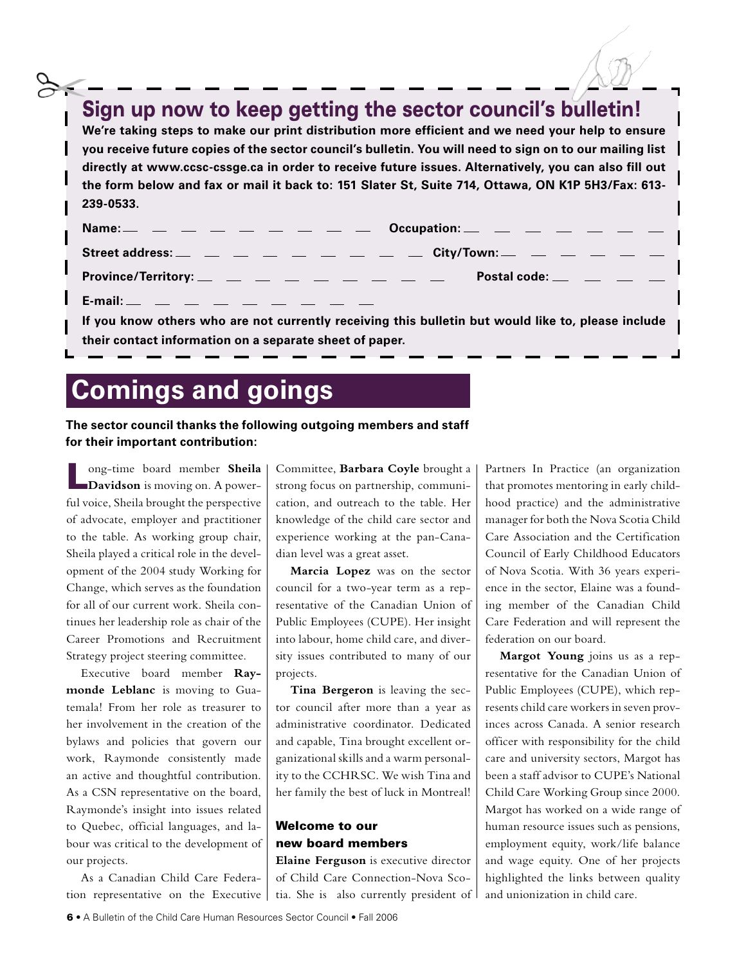### Sign up now to keep getting the sector council's bulletin!

**We're taking steps to make our print distribution more efficient and we need your help to ensure you receive future copies of the sector council's bulletin. You will need to sign on to our mailing list directly at www.ccsc-cssge.ca in order to receive future issues. Alternatively, you can also fill out the form below and fax or mail it back to: 151 Slater St, Suite 714, Ottawa, ON K1P 5H3/Fax: 613- 239-0533.**

| Name: __ _ _ _ _ _ _ _ _ _ _ Occupation: __ _ _ _ _ _ _ _ _                                         |                                                               |
|-----------------------------------------------------------------------------------------------------|---------------------------------------------------------------|
| Street address: __ __ __ __ __ __ __ __ __ City/Town: __ __ __ __ __ __ __                          |                                                               |
| Province/Territory: $\qquad \qquad = \qquad \qquad = \qquad \qquad = \qquad \qquad = \qquad \qquad$ | Postal code: $\qquad \qquad \_ \qquad \_ \qquad \_ \qquad \_$ |
| E-mail: $       -$                                                                                  |                                                               |

**If you know others who are not currently receiving this bulletin but would like to, please include their contact information on a separate sheet of paper.**

## **Comings and goings**

#### **The sector council thanks the following outgoing members and staff for their important contribution:**

Long-time board member **Sheila Davidson** is moving on. A powerful voice, Sheila brought the perspective of advocate, employer and practitioner to the table. As working group chair, Sheila played a critical role in the development of the 2004 study Working for Change, which serves as the foundation for all of our current work. Sheila continues her leadership role as chair of the Career Promotions and Recruitment Strategy project steering committee.

Executive board member **Raymonde Leblanc** is moving to Guatemala! From her role as treasurer to her involvement in the creation of the bylaws and policies that govern our work, Raymonde consistently made an active and thoughtful contribution. As a CSN representative on the board, Raymonde's insight into issues related to Quebec, official languages, and labour was critical to the development of our projects.

As a Canadian Child Care Federation representative on the Executive Committee, **Barbara Coyle** brought a strong focus on partnership, communication, and outreach to the table. Her knowledge of the child care sector and experience working at the pan-Canadian level was a great asset.

**Marcia Lopez** was on the sector council for a two-year term as a representative of the Canadian Union of Public Employees (CUPE). Her insight into labour, home child care, and diversity issues contributed to many of our projects.

**Tina Bergeron** is leaving the sector council after more than a year as administrative coordinator. Dedicated and capable, Tina brought excellent organizational skills and a warm personality to the CCHRSC. We wish Tina and her family the best of luck in Montreal!

#### Welcome to our new board members

**Elaine Ferguson** is executive director of Child Care Connection-Nova Scotia. She is also currently president of Partners In Practice (an organization that promotes mentoring in early childhood practice) and the administrative manager for both the Nova Scotia Child Care Association and the Certification Council of Early Childhood Educators of Nova Scotia. With 36 years experience in the sector, Elaine was a founding member of the Canadian Child Care Federation and will represent the federation on our board.

**Margot Young** joins us as a representative for the Canadian Union of Public Employees (CUPE), which represents child care workers in seven provinces across Canada. A senior research officer with responsibility for the child care and university sectors, Margot has been a staff advisor to CUPE's National Child Care Working Group since 2000. Margot has worked on a wide range of human resource issues such as pensions, employment equity, work/life balance and wage equity. One of her projects highlighted the links between quality and unionization in child care.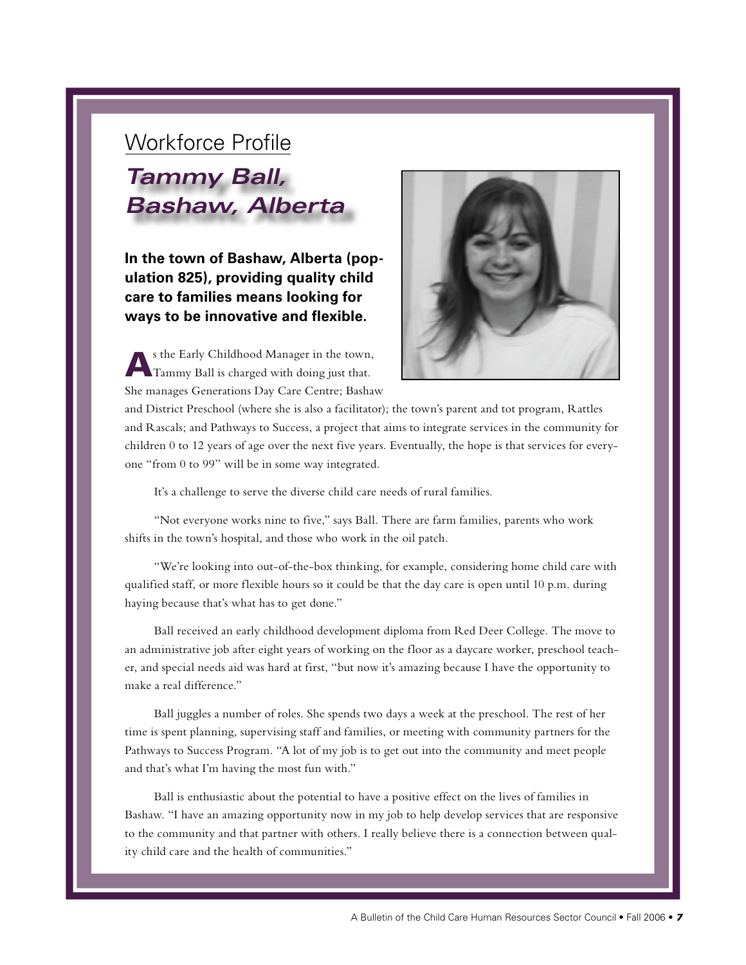# Workforce Profile **Tammy Ball, Bashaw, Alberta**

**In the town of Bashaw, Alberta (population 825), providing quality child care to families means looking for ways to be innovative and flexible.**

As the Early Childhood Manager in the town, Tammy Ball is charged with doing just that. She manages Generations Day Care Centre; Bashaw



and District Preschool (where she is also a facilitator); the town's parent and tot program, Rattles and Rascals; and Pathways to Success, a project that aims to integrate services in the community for children 0 to 12 years of age over the next five years. Eventually, the hope is that services for everyone "from 0 to 99" will be in some way integrated.

It's a challenge to serve the diverse child care needs of rural families.

"Not everyone works nine to five," says Ball. There are farm families, parents who work shifts in the town's hospital, and those who work in the oil patch.

"We're looking into out-of-the-box thinking, for example, considering home child care with qualified staff, or more flexible hours so it could be that the day care is open until 10 p.m. during haying because that's what has to get done."

Ball received an early childhood development diploma from Red Deer College. The move to an administrative job after eight years of working on the floor as a daycare worker, preschool teacher, and special needs aid was hard at first, "but now it's amazing because I have the opportunity to make a real difference."

Ball juggles a number of roles. She spends two days a week at the preschool. The rest of her time is spent planning, supervising staff and families, or meeting with community partners for the Pathways to Success Program. "A lot of my job is to get out into the community and meet people and that's what I'm having the most fun with."

Ball is enthusiastic about the potential to have a positive effect on the lives of families in Bashaw. "I have an amazing opportunity now in my job to help develop services that are responsive to the community and that partner with others. I really believe there is a connection between quality child care and the health of communities."